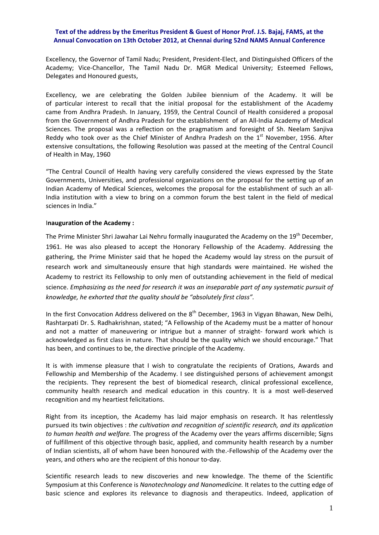## **Text of the address by the Emeritus President & Guest of Honor Prof. J.S. Bajaj, FAMS, at the Annual Convocation on 13th October 2012, at Chennai during 52nd NAMS Annual Conference**

Excellency, the Governor of Tamil Nadu; President, President‐Elect, and Distinguished Officers of the Academy; Vice-Chancellor, The Tamil Nadu Dr. MGR Medical University; Esteemed Fellows, Delegates and Honoured guests,

Excellency, we are celebrating the Golden Jubilee biennium of the Academy. It will be of particular interest to recall that the initial proposal for the establishment of the Academy came from Andhra Pradesh. In January, 1959, the Central Council of Health considered a proposal from the Government of Andhra Pradesh for the establishment of an All-India Academy of Medical Sciences. The proposal was a reflection on the pragmatism and foresight of Sh. Neelam Sanjiva Reddy who took over as the Chief Minister of Andhra Pradesh on the  $1<sup>st</sup>$  November, 1956. After extensive consultations, the following Resolution was passed at the meeting of the Central Council of Health in May, 1960

"The Central Council of Health having very carefully considered the views expressed by the State Governments, Universities, and professional organizations on the proposal for the setting up of an Indian Academy of Medical Sciences, welcomes the proposal for the establishment of such an all‐ India institution with a view to bring on a common forum the best talent in the field of medical sciences in India."

## I**nauguration of the Academy :**

The Prime Minister Shri Jawahar Lai Nehru formally inaugurated the Academy on the 19<sup>th</sup> December, 1961. He was also pleased to accept the Honorary Fellowship of the Academy. Addressing the gathering, the Prime Minister said that he hoped the Academy would lay stress on the pursuit of research work and simultaneously ensure that high standards were maintained. He wished the Academy to restrict its Fellowship to only men of outstanding achievement in the field of medical science. *Emphasizing as the need for research it was an inseparable part of any systematic pursuit of knowledge, he exhorted that the quality should be "absolutely first class".*

In the first Convocation Address delivered on the  $8<sup>th</sup>$  December, 1963 in Vigyan Bhawan, New Delhi, Rashtarpati Dr. S. Radhakrishnan, stated; "A Fellowship of the Academy must be a matter of honour and not a matter of maneuvering or intrigue but a manner of straight- forward work which is acknowledged as first class in nature. That should be the quality which we should encourage." That has been, and continues to be, the directive principle of the Academy.

It is with immense pleasure that I wish to congratulate the recipients of Orations, Awards and Fellowship and Membership of the Academy. I see distinguished persons of achievement amongst the recipients. They represent the best of biomedical research, clinical professional excellence, community health research and medical education in this country. It is a most well‐deserved recognition and my heartiest felicitations.

Right from its inception, the Academy has laid major emphasis on research. It has relentlessly pursued its twin objectives : *the cultivation and recognition of scientific research, and its application to human health and welfare.* The progress of the Academy over the years affirms discernible; Signs of fulfillment of this objective through basic, applied, and community health research by a number of Indian scientists, all of whom have been honoured with the.‐Fellowship of the Academy over the years, and others who are the recipient of this honour to‐day.

Scientific research leads to new discoveries and new knowledge. The theme of the Scientific Symposium at this Conference is *Nanotechnology and Nanomedicine.* It relates to the cutting edge of basic science and explores its relevance to diagnosis and therapeutics. Indeed, application of